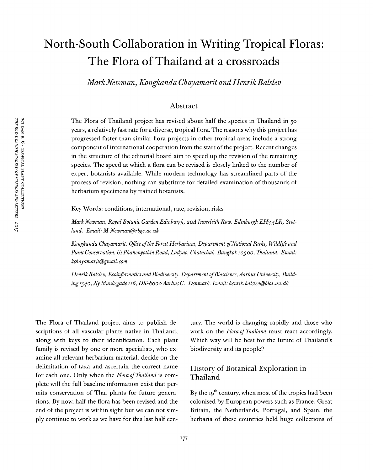# North-South Collaboration in Writing Tropical Floras: The Flora of Thailand at a crossroads

*MarkNewman, Kongkanda Chayamarit andHenrikBalslev*

#### Abstract

The Flora of Thailand project has revised about half the species in Thailand in 50 years, a relatively fast rate for a diverse, tropical flora. The reasons why this project has progressed faster than similar flora projects in other tropical areas include a strong component of international cooperation from the start of the project. Recent changes in the structure of the editorial board aim to speed up the revision of the remaining species. The speed at which a flora can be revised is closely linked to the number of expert botanists available. While modern technology has streamlined parts of the process of revision, nothing can substitute for detailed examination of thousands of herbarium specimens by trained botanists.

KeyWords: conditions, international, rate, revision, risks

*MarkNewman, Royal Botanic Garden Edinburgh, 20A Inverleith Row, Edinburgh EH3 5LR, Scotland. Email: M.Newman@rbge.ac.uk*

*Kongkanda Chayamarit, Office ofthe Forest Herbarium, Department ofNational Parks, Wildlife and Plant Conservation, 61PhahonyothinRoad, Ladyao, Chatuchak, Bangkokiogoo, Thailand. Email: kchayamarit@gmail. com*

*HenrikBalslev, Ecoinformatics andBiodiversity, Department ofBioscience, Aarhus University, Buildingiyyo, Ny Munkegade 116, DK-8000Aarhus C., Denmark. Email: henrik.balslev@bios.au.dk*

The Flora of Thailand project aims to publish descriptions of all vascular plants native in Thailand, along with keys to their identification. Each plant family is revised by one or more specialists, who examine all relevant herbarium material, decide on the delimitation of taxa and ascertain the correct name for each one. Only when the *Flora ofThailand* is complete will the full baseline information exist that permits conservation of Thai plants for future generations. By now, half the flora has been revised and the end of the project is within sight but we can not simply continue to work as we have for this last half cen-

tury. The world is changing rapidly and those who work on the *Flora ofThailand* must react accordingly. Which way will be best for the future of Thailand's biodiversity and its people?

# History of Botanical Exploration in Thailand

By the 19<sup>th</sup> century, when most of the tropics had been colonised by European powers such as France, Great Britain, the Netherlands, Portugal, and Spain, the herbaria of these countries held huge collections of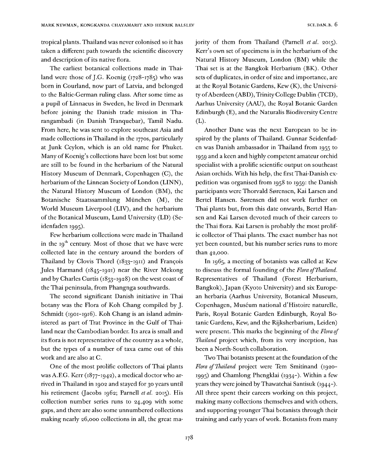tropical plants. Thailand was never colonised so it has taken a different path towards the scientific discovery and description of its native flora.

The earliest botanical collections made in Thailand were those of J.G. Koenig (1728-1785) who was born in Courland, now part of Latvia, and belonged to the Baltic-German ruling class. After some time as a pupil of Linnaeus in Sweden, he lived in Denmark before joining the Danish trade mission in Tharangambadi (in Danish Tranquebar), Tamil Nadu. From here, he was sent to explore southeast Asia and made collections in Thailand in the 1770s, particularly at Junk Ceylon, which is an old name for Phuket. Many of Koenig's collections have been lost but some are still to be found in the herbarium of the Natural History Museum of Denmark, Copenhagen (C), the herbarium of the Linnean Society of London (LINN), the Natural History Museum of London (BM), the Botanische Staatssammlung München (M), the World Museum Liverpool (LIV), and the herbarium of the Botanical Museum, Lund University (LD) (Seidenfaden 1995).

Few herbarium collections were made in Thailand in the  $19<sup>th</sup>$  century. Most of those that we have were collected late in the century around the borders of Thailand by Clovis Thorel (1833-1911) and François Jules Harmand (1845-1921) near the River Mekong and by Charles Curtis (1853-1928) on the west coast of the Thai peninsula, from Phangnga southwards.

The second significant Danish initiative in Thai botany was the Flora of Koh Chang compiled by J. Schmidt (1901-1916). Koh Chang is an island administered as part of Trat Province in the Gulf of Thailand near the Cambodian border. Its area is small and its flora is not representative of the country as a whole, but the types of a number of taxa came out of this work and are also at C.

One of the most prolific collectors of Thai plants was A.F.G. Kerr (1877-1942), a medical doctor who arrived in Thailand in 1902 and stayed for 30 years until his retirement (Jacobs 1962; Parnell *et al.* 2015). His collection number series runs to 24,409 with some gaps, and there are also some unnumbered collections making nearly 26,000 collections in all, the great majority of them from Thailand (Parnell *et al.* 2015). Kerr's own set of specimens is in the herbarium of the Natural History Museum, London (BM) while the Thai set is at the Bangkok Herbarium (BK). Other sets of duplicates, in order of size and importance, are at the Royal Botanic Gardens, Kew (K), the University ofAberdeen (ABD), TrinityCollege Dublin (TCD), Aarhus University (AAU), the Royal Botanic Garden Edinburgh (E), and the Naturalis Biodiversity Centre (L).

Another Dane was the next European to be inspired by the plants of Thailand. Gunnar Seidenfaden was Danish ambassador in Thailand from 1955 to 1959 and a keen and highly competent amateur orchid specialist with a prolific scientific output on southeast Asian orchids. With his help, the first Thai-Danish expedition was organised from 1958 to 1959: the Danish participants were Thorvald Sørensen, Kai Larsen and Bertel Hansen. Sørensen did not work further on Thai plants but, from this date onwards, Bertel Hansen and Kai Larsen devoted much of their careers to the Thai flora. Kai Larsen is probably the most prolific collector ofThai plants. The exact number has not yet been counted, but his number series runs to more than 42,000.

In 1965, a meeting of botanists was called at Kew to discuss the formal founding of the *Flora ofThailand.* Representatives of Thailand (Forest Herbarium, Bangkok), Japan (Kyoto University) and six European herbaria (Aarhus University, Botanical Museum, Copenhagen, Muséum national d'Histoire naturelle, Paris, Royal Botanic Garden Edinburgh, Royal Botanic Gardens, Kew, and the Rijksherbarium, Leiden) were present. This marks the beginning of the *Flora of Thailand* project which, from its very inception, has been a North-South collaboration.

Two Thai botanists present at the foundation of the *Flora ofThailand* project were Tem Smitinand (1920- 1995) and Chamlong Phengklai (1934-). Within a few years they were joined by Thawatchai Santisuk (1944-). All three spent their careers working on this project, making many collections themselves and with others, and supporting younger Thai botanists through their training and early years of work. Botanists from many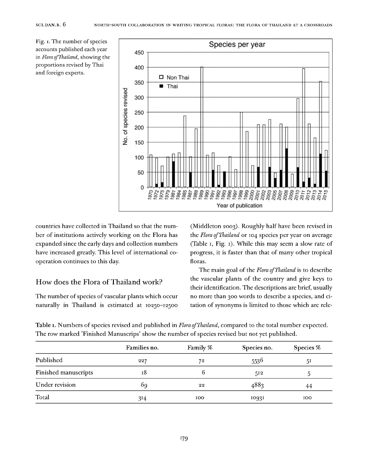Fig. I. The number of species accounts published each year in *Flora ofThailand,* showing the proportions revised by Thai and foreign experts.



countries have collected in Thailand so that the number of institutions actively working on the Flora has expanded since the early days and collection numbers have increased greatly. This level of international cooperation continues to this day.

# How does the Flora of Thailand work?

The number of species of vascular plants which occur naturally in Thailand is estimated at 10250-12500

(Middleton 2003). Roughly half have been revised in the *Flora ofThailand* or 104 species per year on average (Table 1, Fig. 1). While this may seem a slow rate of progress, it is faster than that of many other tropical floras.

The main goal of the *Flora ofThailand* is to describe the vascular plants of the country and give keys to their identification. The descriptions are brief, usually no more than 300 words to describe a species, and citation of synonyms is limited to those which are rele-

Table 1. Numbers of species revised and published in *Flora of Thailand*, compared to the total number expected. The row marked 'Finished Manuscrips' show the number of species revised but not yet published.

|                      | Families no. | Family % | Species no. | Species % |
|----------------------|--------------|----------|-------------|-----------|
| Published            | 227          | 72       | 5536        | 51        |
| Finished manuscripts | 18           | O        | 512         |           |
| Under revision       | bg           | 22       | 4883        | 44        |
| Total                | 314          | 100      | 10931       | 100       |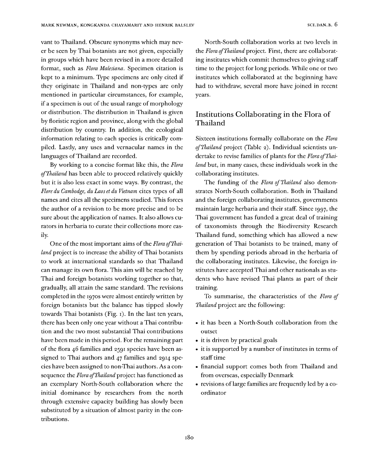vant to Thailand. Obscure synonyms which may never be seen by Thai botanists are not given, especially in groups which have been revised in a more detailed format, such as *Flora Malesiana.* Specimen citation is kept to a minimum. Type specimens are only cited if they originate in Thailand and non-types are only mentioned in particular circumstances, for example, if a specimen is out of the usual range of morphology or distribution. The distribution in Thailand is given by floristic region and province, along with the global distribution by country. In addition, the ecological information relating to each species is critically compiled. Lastly, any uses and vernacular names in the languages of Thailand are recorded.

By working to a concise format like this, the *Flora ofThailand* has been able to proceed relatively quickly but it is also less exact in some ways. By contrast, the *Flore du Cambodge, du Laos et du Vietnam* cites types of all names and cites all the specimens studied. This forces the author of a revision to be more precise and to be sure about the application of names. It also allows curators in herbaria to curate their collections more easily.

One of the most important aims of the *Flora of Thailand* project is to increase the ability of Thai botanists to work at international standards so that Thailand can manage its own flora. This aim will be reached by Thai and foreign botanists working together so that, gradually, all attain the same standard. The revisions completed in the 1970s were almost entirely written by foreign botanists but the balance has tipped slowly towards Thai botanists (Fig. 1). In the last ten years, there has been only one year without a Thai contribution and the two most substantial Thai contributions have been made in this period. For the remaining part of the flora 46 families and 2591 species have been assigned to Thai authors and 47 families and 2914 species have been assigned to non-Thai authors. As a consequence the *Flora ofThailand* project has functioned as an exemplary North-South collaboration where the initial dominance by researchers from the north through extensive capacity building has slowly been substituted by a situation of almost parity in the contributions.

North-South collaboration works at two levels in the *Flora ofThailand* project. First, there are collaborating institutes which commit themselves to giving staff time to the project for long periods. While one or two institutes which collaborated at the beginning have had to withdraw, several more have joined in recent years.

# Institutions Collaborating in the Flora of Thailand

Sixteen institutions formally collaborate on the *Flora ofThailand* project (Table 2). Individual scientists undertake to revise families of plants for the *Flora ofThailand* but, in many cases, these individuals work in the collaborating institutes.

The funding of the *Flora ofThailand* also demonstrates North-South collaboration. Both in Thailand and the foreign collaborating institutes, governments maintain large herbaria and their staff. Since 1997, the Thai government has funded a great deal of training of taxonomists through the Biodiversity Research Thailand fund, something which has allowed a new generation of Thai botanists to be trained, many of them by spending periods abroad in the herbaria of the collaborating institutes. Likewise, the foreign institutes have accepted Thai and other nationals as students who have revised Thai plants as part of their training.

To summarise, the characteristics of the *Flora of Thailand* project are the following:

- it has been a North-South collaboration from the outset
- it is driven by practical goals
- it is supported by a number of institutes in terms of staff time
- financial support comes both from Thailand and from overseas, especially Denmark
- revisions of large families are frequently led by a coordinator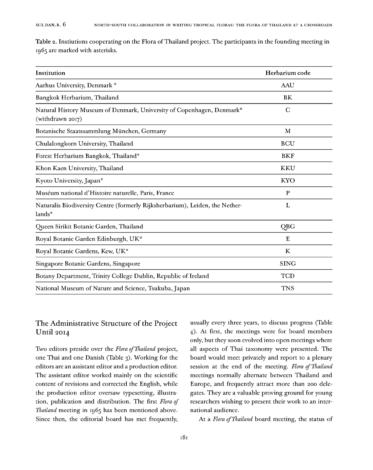Table 2. Instiutions cooperating on the Flora of Thailand project. The participants in the founding meeting in 1965 are marked with asterisks.

| Institution                                                                                        | Herbarium code |
|----------------------------------------------------------------------------------------------------|----------------|
| Aarhus University, Denmark *                                                                       | AAU            |
| Bangkok Herbarium, Thailand                                                                        | BK             |
| Natural History Museum of Denmark, University of Copenhagen, Denmark*<br>(withdrawn 2017)          | $\mathbf C$    |
| Botanische Staatssammlung München, Germany                                                         | M              |
| Chulalongkorn University, Thailand                                                                 | <b>BCU</b>     |
| Forest Herbarium Bangkok, Thailand*                                                                | <b>BKF</b>     |
| Khon Kaen University, Thailand                                                                     | KKU            |
| Kyoto University, Japan*                                                                           | <b>KYO</b>     |
| Muséum national d'Histoire naturelle, Paris, France                                                | P              |
| Naturalis Biodiversity Centre (formerly Rijksherbarium), Leiden, the Nether-<br>lands <sup>*</sup> | L              |
| Queen Sirikit Botanic Garden, Thailand                                                             | QBG            |
| Royal Botanic Garden Edinburgh, UK*                                                                | E              |
| Royal Botanic Gardens, Kew, UK*                                                                    | K              |
| Singapore Botanic Gardens, Singapore                                                               | <b>SING</b>    |
| Botany Department, Trinity College Dublin, Republic of Ireland                                     | TCD            |
| National Museum of Nature and Science, Tsukuba, Japan                                              | <b>TNS</b>     |

# The Administrative Structure of the Project Until 2014

Two editors preside over the *Flora ofThailand* project, one Thai and one Danish (Table 3). Working for the editors are an assistant editor and a production editor. The assistant editor worked mainly on the scientific content of revisions and corrected the English, while the production editor oversaw typesetting, illustration, publication and distribution. The first *Flora of Thailand* meeting in 1965 has been mentioned above. Since then, the editorial board has met frequently,

usually every three years, to discuss progress (Table 4). At first, the meetings were for board members only, but they soon evolved into open meetings where all aspects of Thai taxonomy were presented. The board would meet privately and report to a plenary session at the end of the meeting. *Flora ofThailand* meetings normally alternate between Thailand and Europe, and frequently attract more than 200 delegates. They are a valuable proving ground for young researchers wishing to present their work to an international audience.

At a *Flora ofThailand* board meeting, the status of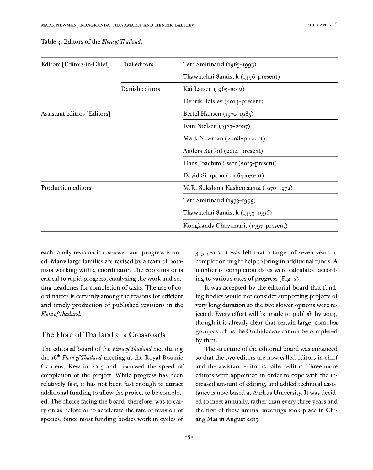| Editors [Editors in Chief]  | Thai editors   | Tem Smitinand (1965-1995)            |  |  |
|-----------------------------|----------------|--------------------------------------|--|--|
|                             |                | Thawatchai Santisuk (1996-present)   |  |  |
|                             | Danish editors | Kai Larsen (1965-2012)               |  |  |
|                             |                | Henrik Balslev (2014-present)        |  |  |
| Assistant editors [Editors] |                | Bertel Hansen (1970-1985)            |  |  |
|                             |                | Ivan Nielsen $(1987 - 2007)$         |  |  |
|                             |                | Mark Newman (2008-present)           |  |  |
|                             |                | Anders Barfod (2014-present)         |  |  |
|                             |                | Hans Joachim Esser (2015-present)    |  |  |
|                             |                | David Simpson (2016-present)         |  |  |
| Production editors          |                | M.R. Sukshom Kashemsanta (1970-1972) |  |  |
|                             |                | Tem Smitinand (1973-1993)            |  |  |
|                             |                | Thawatchai Santisuk (1993-1996)      |  |  |
|                             |                | Kongkanda Chayamarit (1997-present)  |  |  |

Table 3. Editors of the *Flora of Thailand*.

each family revision is discussed and progress is noted. Many large families are revised by a team of botanists working with a coordinator. The coordinator is critical to rapid progress, catalysing the work and setting deadlines for completion of tasks. The use of coordinators is certainly among the reasons for efficient and timely production of published revisions in the *Flora ofThailand.*

#### The Flora of Thailand at a Crossroads

The editorial board of the *Flora ofThailand* met during the 16<sup>th</sup> *Flora of Thailand* meeting at the Royal Botanic Gardens, Kew in 2014 and discussed the speed of completion of the project. While progress has been relatively fast, it has not been fast enough to attract additional funding to allow the project to be completed. The choice facing the board, therefore, was to carry on as before or to accelerate the rate of revision of species. Since most funding bodies work in cycles of 3 -5 years, it was felt that a target of seven years to completion might help to bring in additional funds. A number of completion dates were calculated according to various rates of progress (Fig. 2).

It was accepted by the editorial board that funding bodies would not consider supporting projects of very long duration so the two slower options were rejected. Every effort will be made to publish by 2024, though it is already clear that certain large, complex groups such as the Orchidaceae cannot be completed by then.

The structure of the editorial board was enhanced so that the two editors are now called editors-in-chief and the assistant editor is called editor. Three more editors were appointed in order to cope with the increased amount of editing, and added technical assistance is now based at Aarhus University. It was decided to meet annually, rather than every three years and the first of these annual meetings took place in Chiang Mai in August 2015.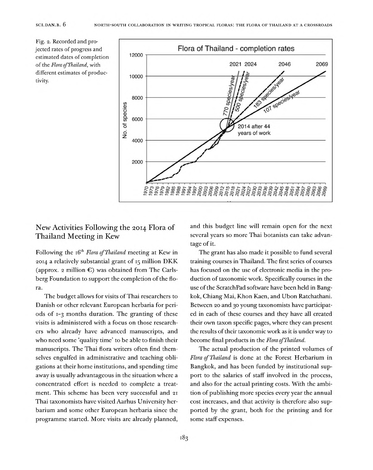Fig. 2. Recorded and projected rates of progress and estimated dates of completion of the *Flora* of Thailand, with different estimates of productivity.



# New Activities Following the 2014 Flora of Thailand Meeting in Kew

Following the 16th *Flora ofThailand* meeting at Kew in 2014 a relatively substantial grant of <sup>15</sup> million DKK (approx. 2 million  $\epsilon$ ) was obtained from The Carlsberg Foundation to support the completion of the flora.

The budget allows for visits of Thai researchers to Danish or other relevant European herbaria for periods of 1-3 months duration. The granting of these visits is administered with a focus on those researchers who already have advanced manuscripts, and who need some 'quality time' to be able to finish their manuscripts. The Thai flora writers often find themselves engulfed in administrative and teaching obligations at their home institutions, and spending time away is usually advantageous in the situation where a concentrated effort is needed to complete a treatment. This scheme has been very successful and <sup>21</sup> Thai taxonomists have visited Aarhus University herbarium and some other European herbaria since the programme started. More visits are already planned, and this budget line will remain open for the next several years so more Thai botanists can take advantage of it.

The grant has also made it possible to fund several training courses in Thailand. The first series of courses has focused on the use of electronic media in the production of taxonomic work. Specifically courses in the use of the ScratchPad software have been held in Bangkok, Chiang Mai, Khon Kaen, and Ubon Ratchathani. Between 20 and 30 young taxonomists have participated in each of these courses and they have all created their own taxon specific pages, where they can present the results of their taxonomic work as it is under way to become final products in the *Flora ofThailand.*

The actual production of the printed volumes of *Flora ofThailand* is done at the Forest Herbarium in Bangkok, and has been funded by institutional support to the salaries of staff involved in the process, and also for the actual printing costs. With the ambition of publishing more species every year the annual cost increases, and that activity is therefore also supported by the grant, both for the printing and for some staff expenses.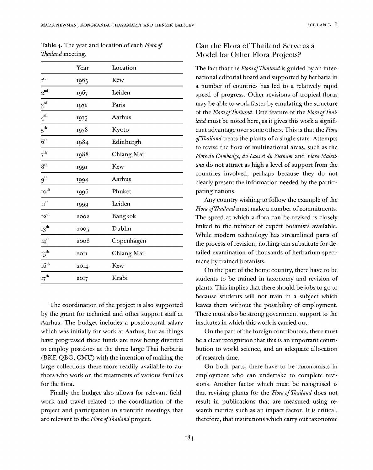| <b>Table 4.</b> The year and location of each Flora of |  |  |
|--------------------------------------------------------|--|--|
| Thailand meeting.                                      |  |  |

|                             | Year | Location       |
|-----------------------------|------|----------------|
| $\tau^{\rm st}$             | 1965 | Kew            |
| $\mathbf{2}^{\mathrm{nd}}$  | 1967 | Leiden         |
| $3^{rd}$                    | 1972 | Paris          |
| $4^{\rm th}$                | 1975 | Aarhus         |
| $5^{\rm th}$                | 1978 | Kyoto          |
| $6^{\rm th}$                | 1984 | Edinburgh      |
| $7^{\rm th}$                | 1988 | Chiang Mai     |
| 8 <sup>th</sup>             | 1991 | Kew            |
| $9^{th}$                    | 1994 | Aarhus         |
| $\mathbf{IO}^{\mathrm{th}}$ | 1996 | Phuket         |
| $\mathbf{II}^\text{th}$     | 1999 | Leiden         |
| ${\bf I2}^{\rm th}$         | 2002 | <b>Bangkok</b> |
| ${^13}^{\mathrm{th}}$       | 2005 | Dublin         |
| $\mathrm{I4}^\mathrm{th}$   | 2008 | Copenhagen     |
| $15^{th}$                   | 2011 | Chiang Mai     |
| $16^{th}$                   | 2014 | Kew            |
| $17^{th}$                   | 2017 | Krabi          |

The coordination of the project is also supported by the grant for technical and other support staff at Aarhus. The budget includes a postdoctoral salary which was initially for work at Aarhus, but as things have progressed these funds are now being diverted to employ postdocs at the three large Thai herbaria  $(BKF, QBG, CMU)$  with the intention of making the large collections there more readily available to authors who work on the treatments of various families for the flora.

Finally the budget also allows for relevant fieldwork and travel related to the coordination of the project and participation in scientific meetings that are relevant to the *Flora ofThailand* project.

# Can the Flora ofThailand Serve as a Model for Other Flora Projects?

The fact that the *Flora ofThailand* is guided by an international editorial board and supported by herbaria in a number of countries has led to a relatively rapid speed of progress. Other revisions of tropical floras may be able to work faster by emulating the structure of the *Flora ofThailand.* One feature of the *Flora ofThailand* must be noted here, as it gives this work a significant advantage over some others. This is that the *Flora ofThailand* treats the plants of a single state. Attempts to revise the flora of multinational areas, such as the *Flore du Cambodge, du Laos et du Vietnam* and *Flora Malesiana* do not attract as high a level of support from the countries involved, perhaps because they do not clearly present the information needed by the participating nations.

Any country wishing to follow the example of the *Flora of Thailand* must make a number of commitments. The speed at which a flora can be revised is closely linked to the number of expert botanists available. While modern technology has streamlined parts of the process of revision, nothing can substitute for detailed examination of thousands of herbarium specimens by trained botanists.

On the part of the home country, there have to be students to be trained in taxonomy and revision of plants. This implies that there should bejobs to go to because students will not train in a subject which leaves them without the possibility of employment. There must also be strong government support to the institutes in which this work is carried out.

On the part of the foreign contributors, there must be a clear recognition that this is an important contribution to world science, and an adequate allocation of research time.

On both parts, there have to be taxonomists in employment who can undertake to complete revisions. Another factor which must be recognised is that revising plants for the *Flora ofThailand* does not result in publications that are measured using research metrics such as an impact factor. It is critical, therefore, that institutions which carry out taxonomic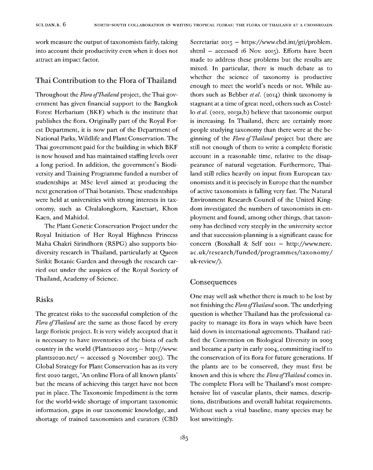work measure the output of taxonomists fairly, taking into account their productivity even when it does not attract an impact factor.

#### Thai Contribution to the Flora of Thailand

Throughout the Flora of Thailand project, the Thai government has given financial support to the Bangkok Forest Herbarium (BKF) which is the institute that publishes the flora. Originally part of the Royal Forest Department, it is now part of the Department of National Parks, Wildlife and Plant Conservation. The Thai government paid for the building in which BKF is now housed and has maintained staffing levels over a long period. In addition, the government's Biodiversity and Training Programme funded a number of studentships at MSc level aimed at producing the next generation ofThai botanists. These studentships were held at universities with strong interests in taxonomy, such as Chulalongkorn, Kasetsart, Khon Kaen, and Mahidol.

The Plant Genetic Conservation Project under the Royal Initiation of Her Royal Highness Princess Maha Chakri Sirindhorn (RSPG) also supports biodiversity research in Thailand, particularly at Queen Sirikit Botanic Garden and through the research carried out under the auspices of the Royal Society of Thailand, Academy of Science.

#### Risks

The greatest risks to the successful completion of the *Flora of Thailand* are the same as those faced by every large floristic project. It is very widely accepted that it is necessary to have inventories of the biota of each country in the world (Plants2020 2015 – http://www. plants2020.net/ – accessed 9 November 2015). The Global Strategy for Plant Conservation has as its very first 2020 target, 'An online Flora of all known plants' but the means of achieving this target have not been put in place. The Taxonomic Impediment is the term for the world-wide shortage of important taxonomic information, gaps in our taxonomic knowledge, and shortage of trained taxonomists and curators (CBD

Secretariat 2015 — https://www.cbd.int/gti/problem. shtml — accessed 16 Nov. 2015). Efforts have been made to address these problems but the results are mixed. In particular, there is much debate as to whether the science of taxonomy is productive enough to meet the world's needs or not. While authors such as Bebber *et al.* (2014) think taxonomy is stagnant at a time of great need, others such as Costello *et al.* (2012, 2013a,b) believe that taxonomic output is increasing. In Thailand, there are certainly more people studying taxonomy than there were at the beginning of the *Flora ofThailand* project but there are still not enough of them to write a complete floristic account in a reasonable time, relative to the disappearance of natural vegetation. Furthermore, Thailand still relies heavily on input from European taxonomists and it is precisely in Europe that the number of active taxonomists is falling very fast. The Natural Environment Research Council of the United Kingdom investigated the numbers of taxonomists in employment and found, among other things, that taxonomy has declined very steeply in the university sector and that succession-planning is a significant cause for concern (Boxshall & Self 2011 — http://www.nerc. ac.uk/research/funded/programmes/taxonomy/ uk-review/).

#### Consequences

One may well ask whether there is much to be lost by not finishing the *Flora of Thailand* soon. The underlying question is whether Thailand has the professional capacity to manage its flora in ways which have been laid down in international agreements. Thailand ratified the Convention on Biological Diversity in 2003 and became a party in early 2004, committing itself to the conservation of its flora for future generations. If the plants are to be conserved, they must first be known and this is where the *Flora of Thailand* comes in. The complete Flora will be Thailand's most comprehensive list of vascular plants, their names, descriptions, distributions and overall habitat requirements. Without such a vital baseline, many species may be lost unwittingly.